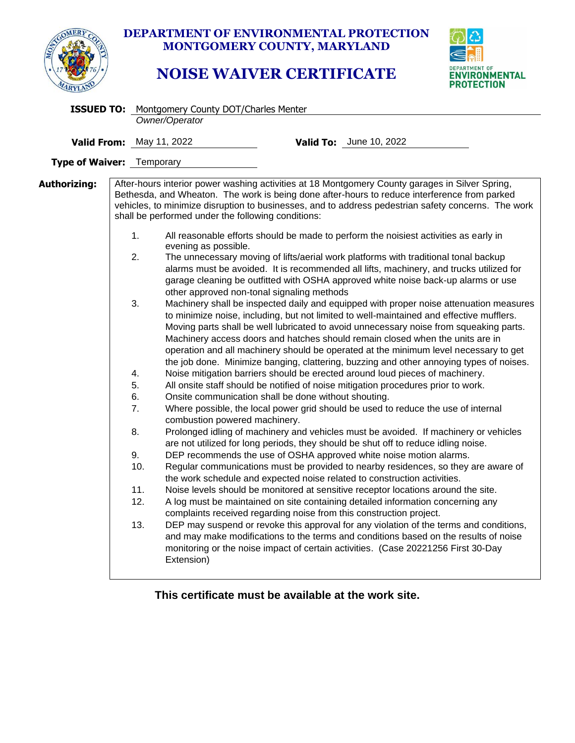

## **DEPARTMENT OF ENVIRONMENTAL PROTECTION MONTGOMERY COUNTY, MARYLAND**

## **NOISE WAIVER CERTIFICATE**



|                                  |  | <b>ISSUED TO:</b> Montgomery County DOT/Charles Menter                                                                                                                                                                                                                                                                                                                                   |  |                                                                                                                                                                                                                                                                                                                                                                                                                                                                                                                                                                                                                                                                                                                                                                                                                                                                                                                                                                                                                                                                                                                                                                                                                                                                                                                                                                                                                                                                                                                                                                                                                                                                                                                                                                                                                                                                                                                                                                                                                                                                                                                                                                                                                                                                                                                                                          |  |  |  |
|----------------------------------|--|------------------------------------------------------------------------------------------------------------------------------------------------------------------------------------------------------------------------------------------------------------------------------------------------------------------------------------------------------------------------------------------|--|----------------------------------------------------------------------------------------------------------------------------------------------------------------------------------------------------------------------------------------------------------------------------------------------------------------------------------------------------------------------------------------------------------------------------------------------------------------------------------------------------------------------------------------------------------------------------------------------------------------------------------------------------------------------------------------------------------------------------------------------------------------------------------------------------------------------------------------------------------------------------------------------------------------------------------------------------------------------------------------------------------------------------------------------------------------------------------------------------------------------------------------------------------------------------------------------------------------------------------------------------------------------------------------------------------------------------------------------------------------------------------------------------------------------------------------------------------------------------------------------------------------------------------------------------------------------------------------------------------------------------------------------------------------------------------------------------------------------------------------------------------------------------------------------------------------------------------------------------------------------------------------------------------------------------------------------------------------------------------------------------------------------------------------------------------------------------------------------------------------------------------------------------------------------------------------------------------------------------------------------------------------------------------------------------------------------------------------------------------|--|--|--|
|                                  |  | Owner/Operator                                                                                                                                                                                                                                                                                                                                                                           |  |                                                                                                                                                                                                                                                                                                                                                                                                                                                                                                                                                                                                                                                                                                                                                                                                                                                                                                                                                                                                                                                                                                                                                                                                                                                                                                                                                                                                                                                                                                                                                                                                                                                                                                                                                                                                                                                                                                                                                                                                                                                                                                                                                                                                                                                                                                                                                          |  |  |  |
|                                  |  | <b>Valid From:</b> May 11, 2022                                                                                                                                                                                                                                                                                                                                                          |  | <b>Valid To:</b> June 10, 2022                                                                                                                                                                                                                                                                                                                                                                                                                                                                                                                                                                                                                                                                                                                                                                                                                                                                                                                                                                                                                                                                                                                                                                                                                                                                                                                                                                                                                                                                                                                                                                                                                                                                                                                                                                                                                                                                                                                                                                                                                                                                                                                                                                                                                                                                                                                           |  |  |  |
| <b>Type of Waiver:</b> Temporary |  |                                                                                                                                                                                                                                                                                                                                                                                          |  |                                                                                                                                                                                                                                                                                                                                                                                                                                                                                                                                                                                                                                                                                                                                                                                                                                                                                                                                                                                                                                                                                                                                                                                                                                                                                                                                                                                                                                                                                                                                                                                                                                                                                                                                                                                                                                                                                                                                                                                                                                                                                                                                                                                                                                                                                                                                                          |  |  |  |
| Authorizing:                     |  | shall be performed under the following conditions:<br>1.<br>evening as possible.<br>2.<br>other approved non-tonal signaling methods<br>3.<br>4.<br>5.<br>6.<br>Onsite communication shall be done without shouting.<br>7.<br>combustion powered machinery.<br>8.<br>9.<br>10.<br>11.<br>12.<br>complaints received regarding noise from this construction project.<br>13.<br>Extension) |  | After-hours interior power washing activities at 18 Montgomery County garages in Silver Spring,<br>Bethesda, and Wheaton. The work is being done after-hours to reduce interference from parked<br>vehicles, to minimize disruption to businesses, and to address pedestrian safety concerns. The work<br>All reasonable efforts should be made to perform the noisiest activities as early in<br>The unnecessary moving of lifts/aerial work platforms with traditional tonal backup<br>alarms must be avoided. It is recommended all lifts, machinery, and trucks utilized for<br>garage cleaning be outfitted with OSHA approved white noise back-up alarms or use<br>Machinery shall be inspected daily and equipped with proper noise attenuation measures<br>to minimize noise, including, but not limited to well-maintained and effective mufflers.<br>Moving parts shall be well lubricated to avoid unnecessary noise from squeaking parts.<br>Machinery access doors and hatches should remain closed when the units are in<br>operation and all machinery should be operated at the minimum level necessary to get<br>the job done. Minimize banging, clattering, buzzing and other annoying types of noises.<br>Noise mitigation barriers should be erected around loud pieces of machinery.<br>All onsite staff should be notified of noise mitigation procedures prior to work.<br>Where possible, the local power grid should be used to reduce the use of internal<br>Prolonged idling of machinery and vehicles must be avoided. If machinery or vehicles<br>are not utilized for long periods, they should be shut off to reduce idling noise.<br>DEP recommends the use of OSHA approved white noise motion alarms.<br>Regular communications must be provided to nearby residences, so they are aware of<br>the work schedule and expected noise related to construction activities.<br>Noise levels should be monitored at sensitive receptor locations around the site.<br>A log must be maintained on site containing detailed information concerning any<br>DEP may suspend or revoke this approval for any violation of the terms and conditions,<br>and may make modifications to the terms and conditions based on the results of noise<br>monitoring or the noise impact of certain activities. (Case 20221256 First 30-Day |  |  |  |

**This certificate must be available at the work site.**